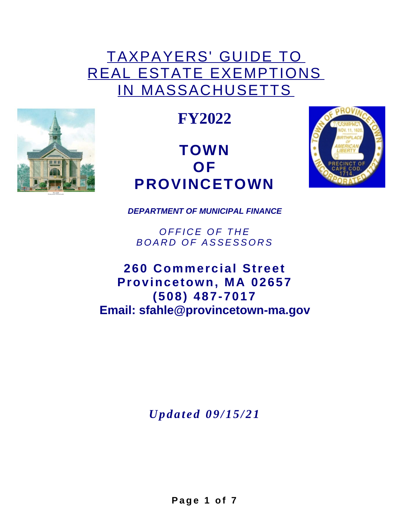# TAXPAYERS' GUIDE TO REAL ESTATE EXEMPTIONS IN MASSACHUSETTS



**FY2022**

# **TOWN OF PROVINCETOWN**



*DEPARTMENT OF MUNICIPAL FINANCE*

*O F F I C E O F T H E B O A R D O F ASSESS O R S*

**260 Commercial Street Provincetown, MA 02657 (508) 487-7017 Email: sfahle@provincetown-ma.gov**

*Up d a t e d 0 9 / 1 5 / 2 1*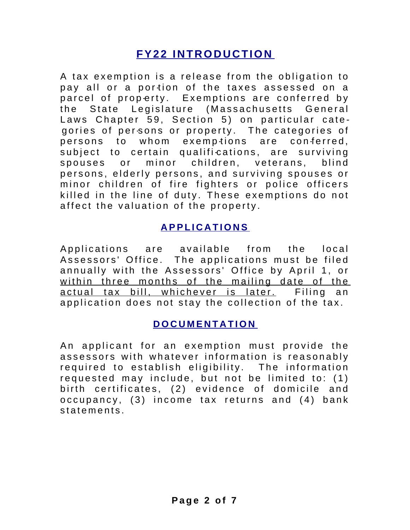## **FY2 2 INTRODUCTION**

A tax exemption is a release from the obligation to pay all or a portion of the taxes assessed on a parcel of property. Exemptions are conferred by the State Legislature (Massachusetts General Laws Chapter 59, Section 5) on particular categories of persons or property. The categories of persons to whom exemptions are conferred, subject to certain qualifi-cations, are surviving spouses or minor children, veterans, blind persons, elderly persons, and surviving spouses or minor children of fire fighters or police officers killed in the line of duty. These exemptions do not affect the valuation of the property.

#### **A PPL I C A T I O N S**

Applications are available from the local Assessors' Office. The applications must be filed annually with the Assessors' Office by April 1, or within three months of the mailing date of the actual tax bill, whichever is later. Filing an application does not stay the collection of the tax.

#### **D O C U M E N T A T I O N**

An applicant for an exemption must provide the assessors with whatever information is reasonably required to establish eligibility. The information requested may include, but not be limited to: (1) birth certificates, (2) evidence of domicile and occupancy,  $(3)$  income tax returns and  $(4)$  bank s t a t e m e n t s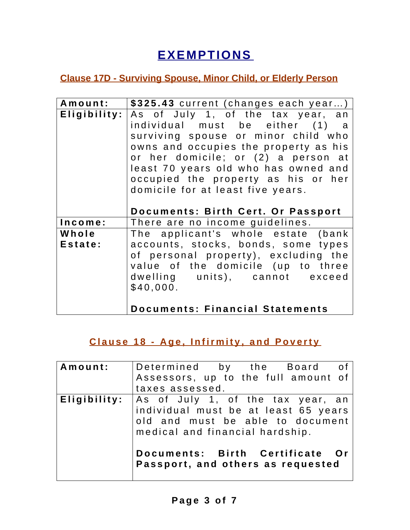# **EXEMPTIONS**

#### **Clause 17D - Surviving Spouse, Minor Child, or Elderly Person**

| Amount:          | \$325.43 current (changes each year)                                                                                                                                                                                                                                                                                                                  |
|------------------|-------------------------------------------------------------------------------------------------------------------------------------------------------------------------------------------------------------------------------------------------------------------------------------------------------------------------------------------------------|
| Eligibility:     | As of July 1, of the tax year, an<br>individual must be either (1) a<br>surviving spouse or minor child who<br>owns and occupies the property as his<br>or her domicile; or (2) a person at<br>least 70 years old who has owned and<br>occupied the property as his or her<br>domicile for at least five years.<br>Documents: Birth Cert. Or Passport |
| Income:          | There are no income guidelines.                                                                                                                                                                                                                                                                                                                       |
| Whole<br>Estate: | The applicant's whole estate (bank<br>accounts, stocks, bonds, some types<br>of personal property), excluding the<br>value of the domicile (up to three<br>dwelling units), cannot exceed<br>\$40,000.                                                                                                                                                |

#### Clause 18 - Age, Infirmity, and Poverty

| Amount:      | Determined by the Board of <br>Assessors, up to the full amount of<br>taxes assessed.                                                            |
|--------------|--------------------------------------------------------------------------------------------------------------------------------------------------|
| Eligibility: | As of July 1, of the tax year, an<br>individual must be at least 65 years<br>old and must be able to document<br>medical and financial hardship. |
|              | Documents: Birth Certificate Or<br>Passport, and others as requested                                                                             |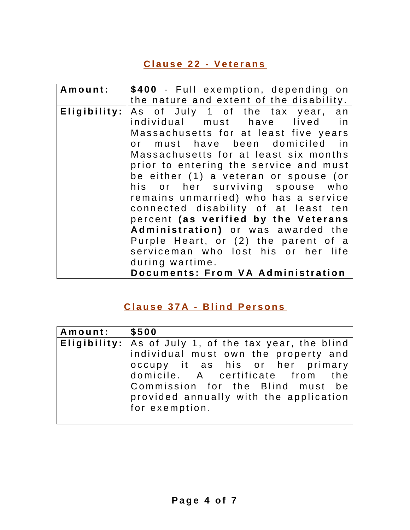#### **C l a u s e 2 2 - Ve t e r a n s**

| Amount:      | \$400 - Full exemption, depending on     |
|--------------|------------------------------------------|
|              | the nature and extent of the disability. |
| Eligibility: | As of July 1 of the tax year, an         |
|              | individual must have lived in            |
|              | Massachusetts for at least five years    |
|              | or must have been domiciled in           |
|              | Massachusetts for at least six months    |
|              | prior to entering the service and must   |
|              | be either (1) a veteran or spouse (or    |
|              | his or her surviving spouse who          |
|              | remains unmarried) who has a service     |
|              | connected disability of at least ten     |
|              | percent (as verified by the Veterans     |
|              | Administration) or was awarded the       |
|              | Purple Heart, or (2) the parent of a     |
|              | serviceman who lost his or her life      |
|              | during wartime.                          |
|              | Documents: From VA Administration        |

#### **C l a u s e 3 7 A - B l i n d Pe r s o n s**

| Amount: | $\frac{1}{2}$ \$500                                     |
|---------|---------------------------------------------------------|
|         | Eligibility:   As of July 1, of the tax year, the blind |
|         | individual must own the property and                    |
|         | occupy it as his or her primary                         |
|         | domicile. A certificate from the                        |
|         | Commission for the Blind must be                        |
|         | provided annually with the application                  |
|         | for exemption.                                          |
|         |                                                         |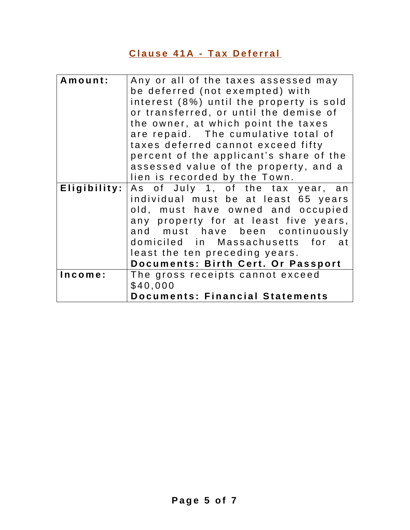### **C l a u s e 4 1 A - T a x D e f e rr a l**

| Amount:      | Any or all of the taxes assessed may<br>be deferred (not exempted) with |
|--------------|-------------------------------------------------------------------------|
|              |                                                                         |
|              | interest (8%) until the property is sold                                |
|              | or transferred, or until the demise of                                  |
|              | the owner, at which point the taxes                                     |
|              | are repaid. The cumulative total of                                     |
|              | taxes deferred cannot exceed fifty                                      |
|              | percent of the applicant's share of the                                 |
|              | assessed value of the property, and a                                   |
|              | lien is recorded by the Town.                                           |
| Eligibility: | As of July 1, of the tax year, an                                       |
|              | individual must be at least 65 years                                    |
|              | old, must have owned and occupied                                       |
|              | any property for at least five years,                                   |
|              | and must have been continuously                                         |
|              | domiciled in Massachusetts for at                                       |
|              | least the ten preceding years.                                          |
|              | Documents: Birth Cert. Or Passport                                      |
| Income:      | The gross receipts cannot exceed                                        |
|              | \$40,000                                                                |
|              | <b>Documents: Financial Statements</b>                                  |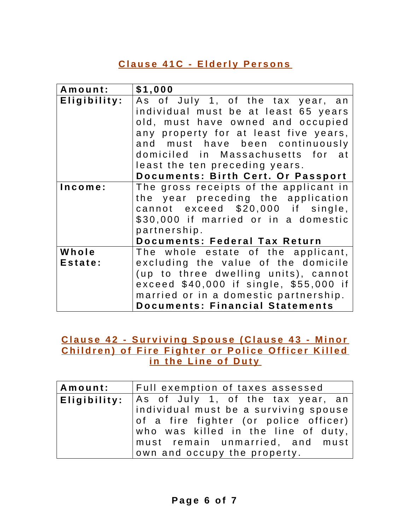#### **Clause 41C - Elderly Persons**

| Amount:      | \$1,000                                |
|--------------|----------------------------------------|
| Eligibility: | As of July 1, of the tax year, an      |
|              | individual must be at least 65 years   |
|              | old, must have owned and occupied      |
|              | any property for at least five years,  |
|              | and must have been continuously        |
|              | domiciled in Massachusetts for at      |
|              | least the ten preceding years.         |
|              | Documents: Birth Cert. Or Passport     |
| Income:      | The gross receipts of the applicant in |
|              | the year preceding the application     |
|              | cannot exceed \$20,000 if single,      |
|              | \$30,000 if married or in a domestic   |
|              | partnership.                           |
|              | <b>Documents: Federal Tax Return</b>   |
| Whole        | The whole estate of the applicant,     |
| Estate:      | excluding the value of the domicile    |
|              | (up to three dwelling units), cannot   |
|              | exceed \$40,000 if single, \$55,000 if |
|              | married or in a domestic partnership.  |
|              | <b>Documents: Financial Statements</b> |

Clause 42 - Surviving Spouse (Clause 43 - Minor Children) of Fire Fighter or Police Officer Killed **i n t h e L i n e o f D u t y**

| Amount: | Full exemption of taxes assessed                        |
|---------|---------------------------------------------------------|
|         | <b>Eligibility</b> :  As of July 1, of the tax year, an |
|         | individual must be a surviving spouse                   |
|         | of a fire fighter (or police officer)                   |
|         | who was killed in the line of duty,                     |
|         | must remain unmarried, and must                         |
|         | own and occupy the property.                            |